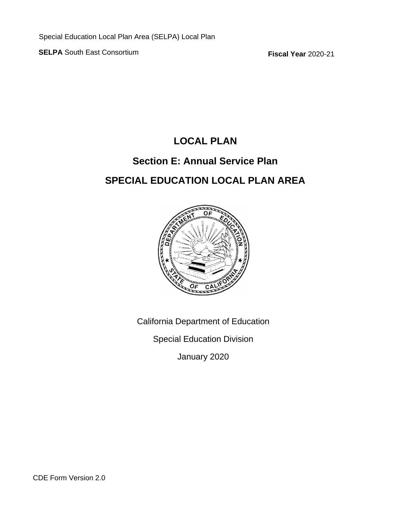**SELPA** South East Consortium **Fiscal Year** 2020-21

## **LOCAL PLAN**

## **Section E: Annual Service Plan SPECIAL EDUCATION LOCAL PLAN AREA**



California Department of Education

Special Education Division

January 2020

CDE Form Version 2.0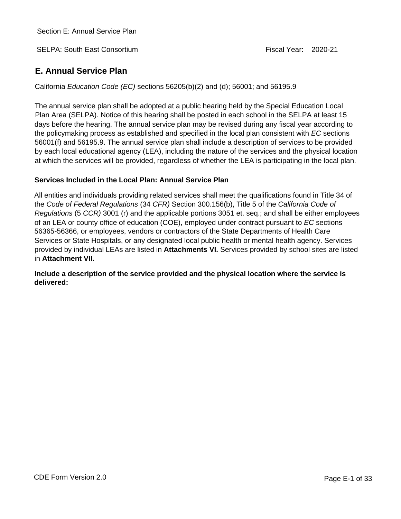SELPA: South East Consortium **Figure 1** 2020-21

## **E. Annual Service Plan**

California *Education Code (EC)* sections 56205(b)(2) and (d); 56001; and 56195.9

The annual service plan shall be adopted at a public hearing held by the Special Education Local Plan Area (SELPA). Notice of this hearing shall be posted in each school in the SELPA at least 15 days before the hearing. The annual service plan may be revised during any fiscal year according to the policymaking process as established and specified in the local plan consistent with *EC* sections 56001(f) and 56195.9. The annual service plan shall include a description of services to be provided by each local educational agency (LEA), including the nature of the services and the physical location at which the services will be provided, regardless of whether the LEA is participating in the local plan.

## **Services Included in the Local Plan: Annual Service Plan**

All entities and individuals providing related services shall meet the qualifications found in Title 34 of the *Code of Federal Regulations* (34 *CFR)* Section 300.156(b), Title 5 of the *California Code of Regulations* (5 *CCR)* 3001 (r) and the applicable portions 3051 et. seq.; and shall be either employees of an LEA or county office of education (COE), employed under contract pursuant to *EC* sections 56365-56366, or employees, vendors or contractors of the State Departments of Health Care Services or State Hospitals, or any designated local public health or mental health agency. Services provided by individual LEAs are listed in **Attachments VI.** Services provided by school sites are listed in **Attachment VII.**

**Include a description of the service provided and the physical location where the service is delivered:**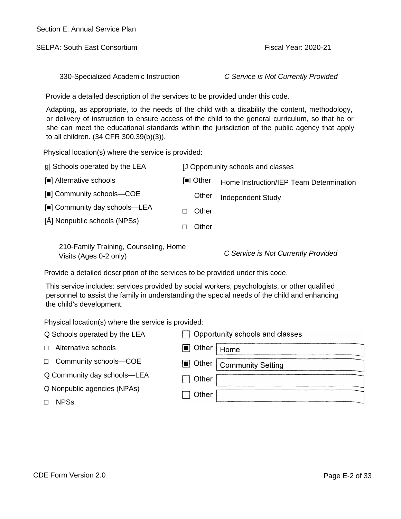SELPA: South East Consortium and the state of the Fiscal Year: 2020-21

330-Specialized Academic Instruction *C Service is Not Currently Provided*

Provide a detailed description of the services to be provided under this code.

Adapting, as appropriate, to the needs of the child with a disability the content, methodology, or delivery of instruction to ensure access of the child to the general curriculum, so that he or she can meet the educational standards within the jurisdiction of the public agency that apply to all children. (34 CFR 300.39(b)(3)).

Physical location(s) where the service is provided:

| g] Schools operated by the LEA | [J Opportunity schools and classes |                                         |  |
|--------------------------------|------------------------------------|-----------------------------------------|--|
| [ ] Alternative schools        | [ I Other                          | Home Instruction/IEP Team Determination |  |
| [] Community schools-COE       | Other                              | <b>Independent Study</b>                |  |
| [] Community day schools—LEA   | Other                              |                                         |  |
| [A] Nonpublic schools (NPSs)   | Other                              |                                         |  |

210-Family Training, Counseling, Home Visits (Ages 0-2 only) *C Service is Not Currently Provided*

Provide a detailed description of the services to be provided under this code.

This service includes: services provided by social workers, psychologists, or other qualified personnel to assist the family in understanding the special needs of the child and enhancing the child's development.

| Q Schools operated by the LEA |                      | $\Box$ Opportunity schools and classes |
|-------------------------------|----------------------|----------------------------------------|
| Alternative schools           | <b>■</b> Other       | Home                                   |
| Community schools-COE         | $\blacksquare$ Other | <b>Community Setting</b>               |
| Q Community day schools-LEA   | Other                |                                        |
| Q Nonpublic agencies (NPAs)   |                      |                                        |
| <b>NPSs</b>                   |                      |                                        |
|                               | Other                |                                        |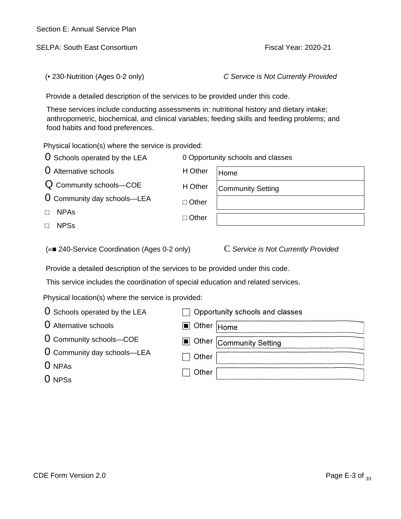SELPA: South East Consortium **Fiscal Year: 2020-21** 

(• 230-Nutrition (Ages 0-2 only) *C Service is Not Currently Provided*

Provide a detailed description of the services to be provided under this code.

These services include conducting assessments in: nutritional history and dietary intake; anthropometric, biochemical, and clinical variables; feeding skills and feeding problems; and food habits and food preferences.

Physical location(s) where the service is provided:

| <b>O</b> Schools operated by the LEA            | 0 Opportunity schools and classes |                                     |  |
|-------------------------------------------------|-----------------------------------|-------------------------------------|--|
| <b>O</b> Alternative schools                    | H Other                           | Home                                |  |
| Q Community schools-COE                         | H Other                           | <b>Community Setting</b>            |  |
| <b>U</b> Community day schools—LEA              | Other                             |                                     |  |
| <b>NPAs</b>                                     | Other                             |                                     |  |
| <b>NPSs</b>                                     |                                   |                                     |  |
| 240-Service Coordination (Ages 0-2 only)<br>( « |                                   | C Service is Not Currently Provided |  |

Provide a detailed description of the services to be provided under this code.

This service includes the coordination of special education and related services.

| O Schools operated by the LEA | Opportunity schools and classes  |
|-------------------------------|----------------------------------|
| <b>O</b> Alternative schools  | ■ Other Home                     |
| O Community schools-COE       | <b>M</b> Other Community Setting |
| O Community day schools-LEA   | Other                            |
| $0$ NPAs                      |                                  |
| O NPS <sub>s</sub>            | Other                            |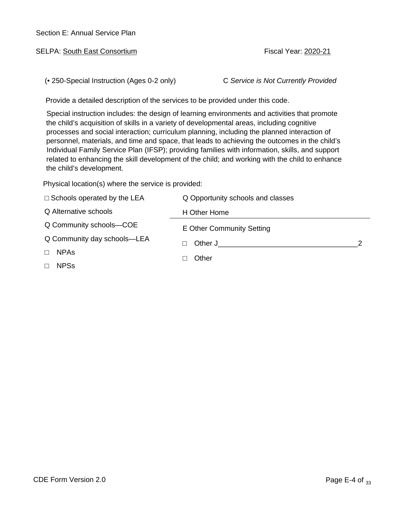| Section E: Annual Service Plan |  |
|--------------------------------|--|
|--------------------------------|--|

SELPA: South East Consortium **Fiscal Year: 2020-21** 

(• 250-Special Instruction (Ages 0-2 only) C *Service is Not Currently Provided*

Provide a detailed description of the services to be provided under this code.

Special instruction includes: the design of learning environments and activities that promote the child's acquisition of skills in a variety of developmental areas, including cognitive processes and social interaction; curriculum planning, including the planned interaction of personnel, materials, and time and space, that leads to achieving the outcomes in the child's Individual Family Service Plan (IFSP); providing families with information, skills, and support related to enhancing the skill development of the child; and working with the child to enhance the child's development.

| Schools operated by the LEA | Q Opportunity schools and classes |  |
|-----------------------------|-----------------------------------|--|
| Q Alternative schools       | H Other Home                      |  |
| Q Community schools-COE     | E Other Community Setting         |  |
| Q Community day schools-LEA | Other J                           |  |
| <b>NPAs</b>                 | Other                             |  |
| <b>NPSs</b>                 |                                   |  |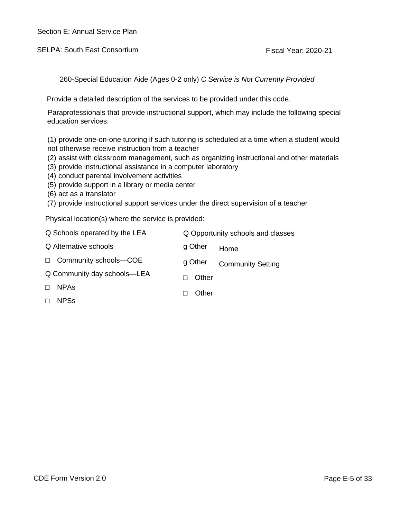SELPA: South East Consortium And All Annual Consortium Fiscal Year: 2020-21

260-Special Education Aide (Ages 0-2 only) *C Service is Not Currently Provided*

Provide a detailed description of the services to be provided under this code.

Paraprofessionals that provide instructional support, which may include the following special education services:

(1) provide one-on-one tutoring if such tutoring is scheduled at a time when a student would not otherwise receive instruction from a teacher

- (2) assist with classroom management, such as organizing instructional and other materials
- (3) provide instructional assistance in a computer laboratory
- (4) conduct parental involvement activities
- (5) provide support in a library or media center
- (6) act as a translator
- (7) provide instructional support services under the direct supervision of a teacher

| Q Schools operated by the LEA |         | Q Opportunity schools and classes |
|-------------------------------|---------|-----------------------------------|
| Q Alternative schools         | g Other | Home                              |
| Community schools-COE         | g Other | <b>Community Setting</b>          |
| Q Community day schools-LEA   | Other   |                                   |
| <b>NPAS</b>                   | Other   |                                   |
| <b>NPSs</b>                   |         |                                   |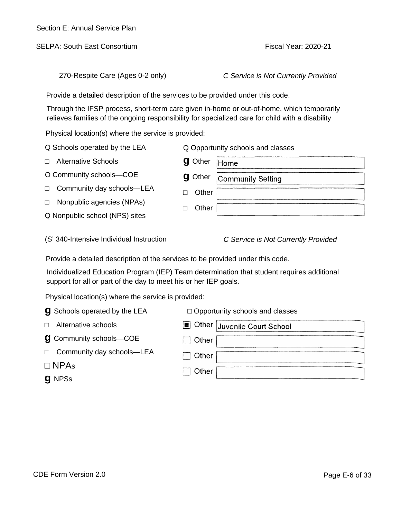| <b>CDE Form Version 2.0</b> | Page E-6 of 33 |
|-----------------------------|----------------|
|                             |                |

|                                                                                | Through the IFSP process, short-term care given in-home or out-of-home, which temporarily<br>relieves families of the ongoing responsibility for specialized care for child with a disability |  |
|--------------------------------------------------------------------------------|-----------------------------------------------------------------------------------------------------------------------------------------------------------------------------------------------|--|
| Physical location(s) where the service is provided:                            |                                                                                                                                                                                               |  |
| Q Schools operated by the LEA                                                  | Q Opportunity schools and classes                                                                                                                                                             |  |
| <b>Alternative Schools</b>                                                     | <b>g</b> Other<br>Home                                                                                                                                                                        |  |
| O Community schools-COE                                                        | Other<br>g<br><b>Community Setting</b>                                                                                                                                                        |  |
| Community day schools-LEA                                                      | Other                                                                                                                                                                                         |  |
| Nonpublic agencies (NPAs)                                                      | Other                                                                                                                                                                                         |  |
| Q Nonpublic school (NPS) sites                                                 |                                                                                                                                                                                               |  |
| (S' 340-Intensive Individual Instruction                                       | C Service is Not Currently Provided                                                                                                                                                           |  |
| Provide a detailed description of the services to be provided under this code. |                                                                                                                                                                                               |  |
| support for all or part of the day to meet his or her IEP goals.               | Individualized Education Program (IEP) Team determination that student requires additional                                                                                                    |  |
| Physical location(s) where the service is provided:                            |                                                                                                                                                                                               |  |
| <b>g</b> Schools operated by the LEA                                           | Opportunity schools and classes                                                                                                                                                               |  |
| Alternative schools                                                            | Other Juvenile Court School<br>$\blacksquare$                                                                                                                                                 |  |
|                                                                                |                                                                                                                                                                                               |  |
| Community schools-COE<br>g                                                     | Other                                                                                                                                                                                         |  |
| Community day schools-LEA                                                      | Other                                                                                                                                                                                         |  |
| <b>NPAs</b>                                                                    |                                                                                                                                                                                               |  |
| <b>g</b> NPSs                                                                  | Other                                                                                                                                                                                         |  |
|                                                                                |                                                                                                                                                                                               |  |
|                                                                                |                                                                                                                                                                                               |  |

270-Respite Care (Ages 0-2 only) *C Service is Not Currently Provided*

Provide a detailed description of the services to be provided under this code.

SELPA: South East Consortium **Fiscal Year: 2020-21**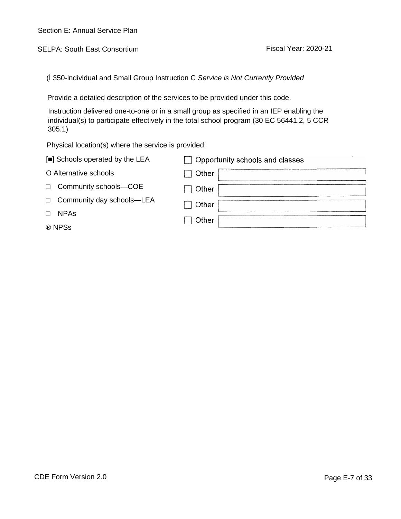SELPA: South East Consortium **Fiscal Year: 2020-21** 

(İ 350-lndividual and Small Group Instruction C *Service is Not Currently Provided*

Provide a detailed description of the services to be provided under this code.

Instruction delivered one-to-one or in a small group as specified in an IEP enabling the individual(s) to participate effectively in the total school program (30 EC 56441.2, 5 CCR 305.1)

| [ ] Schools operated by the LEA | <b>Opportunity schools and classes</b> |
|---------------------------------|----------------------------------------|
| O Alternative schools           | Other                                  |
| Community schools-COE           | Other                                  |
| Community day schools-LEA       | Other                                  |
| <b>NPAs</b>                     | Other                                  |
| ® NPSs                          |                                        |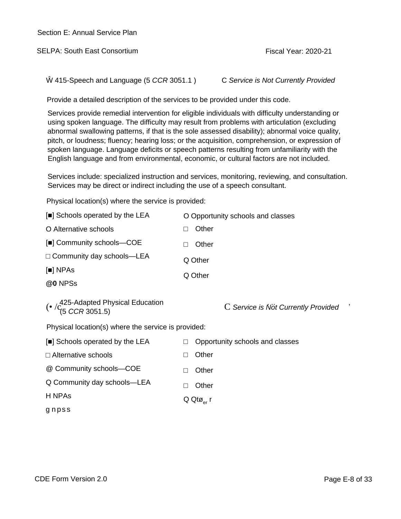SELPA: South East Consortium **Fiscal Year: 2020-21** 

Ŵ 415-Speech and Language (5 *CCR* 3051.1 ) C *Service is Not Currently Provided*

Provide a detailed description of the services to be provided under this code.

Services provide remedial intervention for eligible individuals with difficulty understanding or using spoken language. The difficulty may result from problems with articulation (excluding abnormal swallowing patterns, if that is the sole assessed disability); abnormal voice quality, pitch, or loudness; fluency; hearing loss; or the acquisition, comprehension, or expression of spoken language. Language deficits or speech patterns resulting from unfamiliarity with the English language and from environmental, economic, or cultural factors are not included.

Services include: specialized instruction and services, monitoring, reviewing, and consultation. Services may be direct or indirect including the use of a speech consultant.

| [ ] Schools operated by the LEA                                                    | O Opportunity schools and classes   |
|------------------------------------------------------------------------------------|-------------------------------------|
| O Alternative schools                                                              | Other                               |
| [] Community schools-COE                                                           | Other                               |
| Community day schools-LEA                                                          | Q Other                             |
| $[$ ] NPAs                                                                         | Q Other                             |
| @0 NPSs                                                                            |                                     |
| ( $\cdot$ / $c$ <sup>425-Adapted Physical Education</sup><br>(5 <i>CCR</i> 3051.5) | C Service is Not Currently Provided |
| Physical location(s) where the service is provided:                                |                                     |
| [ ] Schools operated by the LEA                                                    | Opportunity schools and classes     |
| Alternative schools                                                                | Other                               |
| @ Community schools-COE                                                            | Other                               |
| Q Community day schools-LEA                                                        | Other                               |
| H NPAs                                                                             | $Q$ Qt $\varnothing_{\text{er}}$ r  |
| gnpss                                                                              |                                     |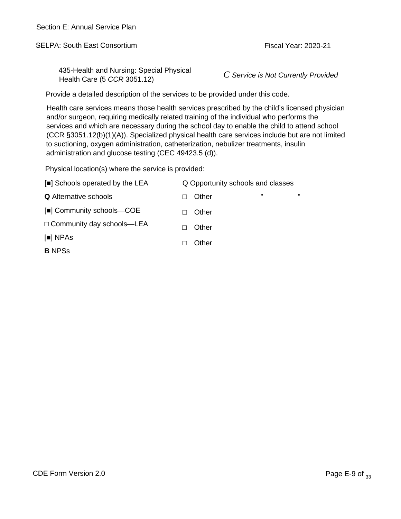SELPA: South East Consortium **Fiscal Year: 2020-21** Fiscal Year: 2020-21

435-Health and Nursing: Special Physical Health Care (5 *CCR* 3051.12) *C Service is Not Currently Provided*

Provide a detailed description of the services to be provided under this code.

Health care services means those health services prescribed by the child's licensed physician and/or surgeon, requiring medically related training of the individual who performs the services and which are necessary during the school day to enable the child to attend school (CCR §3051.12(b)(1)(A)). Specialized physical health care services include but are not limited to suctioning, oxygen administration, catheterization, nebulizer treatments, insulin administration and glucose testing (CEC 49423.5 (d)).

| [ ] Schools operated by the LEA | Q Opportunity schools and classes |  |    |
|---------------------------------|-----------------------------------|--|----|
| <b>Q</b> Alternative schools    | Other                             |  | ,, |
| [] Community schools-COE        | Other                             |  |    |
| Community day schools-LEA       | Other                             |  |    |
| [ ] NPAs                        | Other                             |  |    |
| <b>B</b> NPSs                   |                                   |  |    |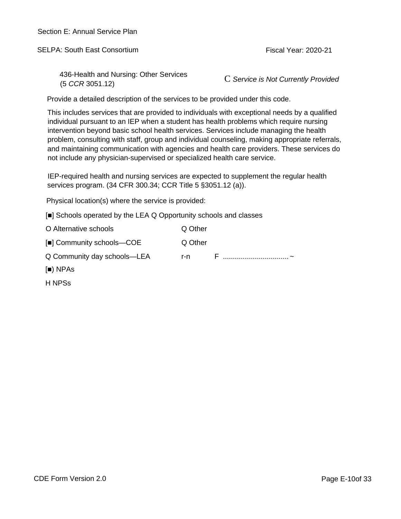SELPA: South East Consortium **Fiscal Year: 2020-21** 

436-Health and Nursing: Other Services (5 *CCR* 3051.12) C *Service is Not Currently Provided*

Provide a detailed description of the services to be provided under this code.

This includes services that are provided to individuals with exceptional needs by a qualified individual pursuant to an IEP when a student has health problems which require nursing intervention beyond basic school health services. Services include managing the health problem, consulting with staff, group and individual counseling, making appropriate referrals, and maintaining communication with agencies and health care providers. These services do not include any physician-supervised or specialized health care service.

IEP-required health and nursing services are expected to supplement the regular health services program. (34 CFR 300.34; CCR Title 5 §3051.12 (a)).

Physical location(s) where the service is provided:

[] Schools operated by the LEA Q Opportunity schools and classes

| O Alternative schools       | Q Other |  |
|-----------------------------|---------|--|
| [] Community schools-COE    | Q Other |  |
| Q Community day schools-LEA | r-n l   |  |
| $\lceil$ ) NPAs             |         |  |

H NPSs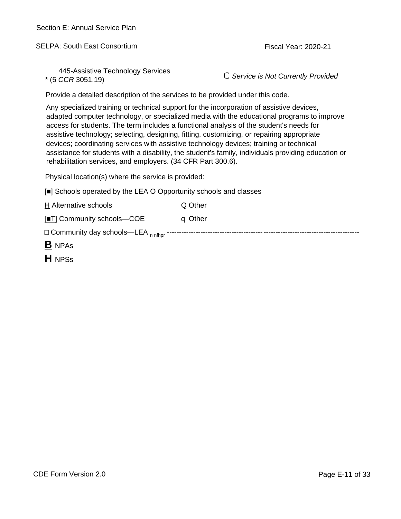SELPA: South East Consortium **Fiscal Year: 2020-21** 

445-Assistive Technology Services

\* (5 *CCR* 3051.19) C *Service is Not Currently Provided*

Provide a detailed description of the services to be provided under this code.

Any specialized training or technical support for the incorporation of assistive devices, adapted computer technology, or specialized media with the educational programs to improve access for students. The term includes a functional analysis of the student's needs for assistive technology; selecting, designing, fitting, customizing, or repairing appropriate devices; coordinating services with assistive technology devices; training or technical assistance for students with a disability, the student's family, individuals providing education or rehabilitation services, and employers. (34 CFR Part 300.6).

Physical location(s) where the service is provided:

| <b>B</b> NPAS                                                     |         |  |
|-------------------------------------------------------------------|---------|--|
| Community day schools—LEA $_{n \text{ nftlor}}$ -                 |         |  |
| [ T] Community schools-COE                                        | q Other |  |
| H Alternative schools                                             | Q Other |  |
| [ ] Schools operated by the LEA O Opportunity schools and classes |         |  |

**H** NPSs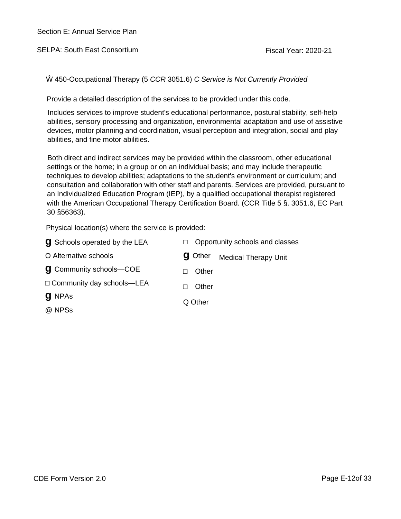SELPA: South East Consortium **Fiscal Year: 2020-21** 

Ŵ 450-Occupational Therapy (5 *CCR* 3051.6) *C Service is Not Currently Provided*

Provide a detailed description of the services to be provided under this code.

Includes services to improve student's educational performance, postural stability, self-help abilities, sensory processing and organization, environmental adaptation and use of assistive devices, motor planning and coordination, visual perception and integration, social and play abilities, and fine motor abilities.

Both direct and indirect services may be provided within the classroom, other educational settings or the home; in a group or on an individual basis; and may include therapeutic techniques to develop abilities; adaptations to the student's environment or curriculum; and consultation and collaboration with other staff and parents. Services are provided, pursuant to an Individualized Education Program (IEP), by a qualified occupational therapist registered with the American Occupational Therapy Certification Board. (CCR Title 5 §. 3051.6, EC Part 30 §56363).

| <b>g</b> Schools operated by the LEA | Opportunity schools and classes               |  |  |
|--------------------------------------|-----------------------------------------------|--|--|
| O Alternative schools                | <b>g</b> Other<br><b>Medical Therapy Unit</b> |  |  |
| <b>g</b> Community schools-COE       | Other                                         |  |  |
| Community day schools-LEA            | Other                                         |  |  |
| <b>g</b> NPAs                        | Q Other                                       |  |  |
| @ NPSs                               |                                               |  |  |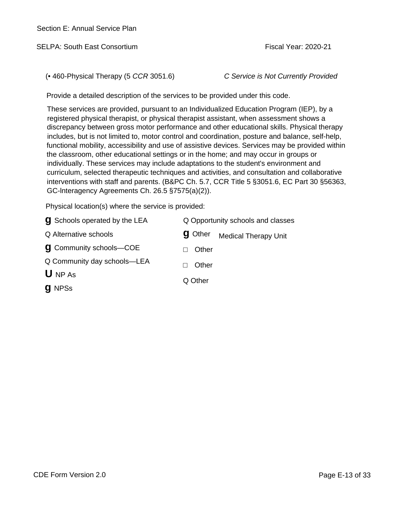SELPA: South East Consortium **Fiscal Year: 2020-21** Fiscal Year: 2020-21

(• 460-Physical Therapy (5 *CCR* 3051.6) *C Service is Not Currently Provided*

Provide a detailed description of the services to be provided under this code.

These services are provided, pursuant to an Individualized Education Program (IEP), by a registered physical therapist, or physical therapist assistant, when assessment shows a discrepancy between gross motor performance and other educational skills. Physical therapy includes, but is not limited to, motor control and coordination, posture and balance, self-help, functional mobility, accessibility and use of assistive devices. Services may be provided within the classroom, other educational settings or in the home; and may occur in groups or individually. These services may include adaptations to the student's environment and curriculum, selected therapeutic techniques and activities, and consultation and collaborative interventions with staff and parents. (B&PC Ch. 5.7, CCR Title 5 §3051.6, EC Part 30 §56363, GC-lnteragency Agreements Ch. 26.5 §7575(a)(2)).

| <b>g</b> Schools operated by the LEA | Q Opportunity schools and classes |                             |  |
|--------------------------------------|-----------------------------------|-----------------------------|--|
| Q Alternative schools                | <b>g</b> Other                    | <b>Medical Therapy Unit</b> |  |
| <b>g</b> Community schools-COE       | Other                             |                             |  |
| Q Community day schools—LEA          | Other                             |                             |  |
| $U$ NP As                            |                                   |                             |  |
| <b>g</b> NPSs                        | Q Other                           |                             |  |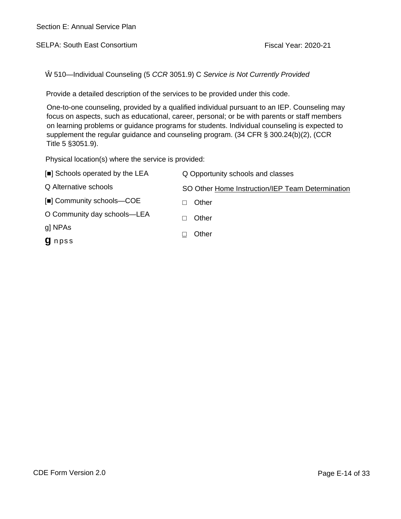SELPA: South East Consortium **Fiscal Year: 2020-21** Fiscal Year: 2020-21

510—Individual Counseling (5 *CCR* 3051.9) C *Service is Not Currently Provided* 

Provide a detailed description of the services to be provided under this code.

One-to-one counseling, provided by a qualified individual pursuant to an IEP. Counseling may focus on aspects, such as educational, career, personal; or be with parents or staff members on learning problems or guidance programs for students. Individual counseling is expected to supplement the regular guidance and counseling program. (34 CFR § 300.24(b)(2), (CCR Title 5 §3051.9).

| [ ] Schools operated by the LEA | Q Opportunity schools and classes                |
|---------------------------------|--------------------------------------------------|
| Q Alternative schools           | SO Other Home Instruction/IEP Team Determination |
| [] Community schools-COE        | Other                                            |
| O Community day schools-LEA     | Other                                            |
| gl NPAs                         | Other                                            |
| <b>g</b> npss                   |                                                  |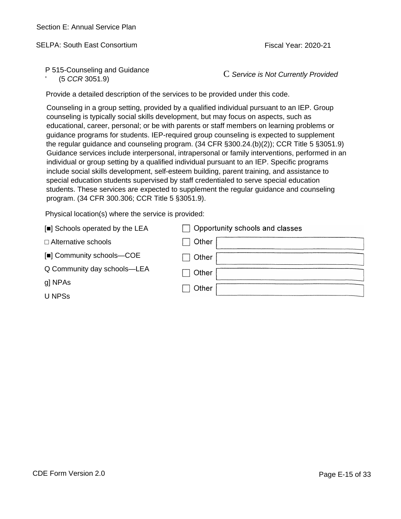SELPA: South East Consortium And Consortium Fiscal Year: 2020-21

P 515-Counseling and Guidance

' (5 *CCR* 3051.9) C *Service is Not Currently Provided*

Provide a detailed description of the services to be provided under this code.

Counseling in a group setting, provided by a qualified individual pursuant to an IEP. Group counseling is typically social skills development, but may focus on aspects, such as educational, career, personal; or be with parents or staff members on learning problems or guidance programs for students. IEP-required group counseling is expected to supplement the regular guidance and counseling program. (34 CFR §300.24.(b)(2)); CCR Title 5 §3051.9) Guidance services include interpersonal, intrapersonal or family interventions, performed in an individual or group setting by a qualified individual pursuant to an IEP. Specific programs include social skills development, self-esteem building, parent training, and assistance to special education students supervised by staff credentialed to serve special education students. These services are expected to supplement the regular guidance and counseling program. (34 CFR 300.306; CCR Title 5 §3051.9).

| [ ] Schools operated by the LEA | Opportunity schools and classes |
|---------------------------------|---------------------------------|
| Alternative schools             | Other                           |
| [] Community schools-COE        | Other                           |
| Q Community day schools-LEA     | Other                           |
| g] NPAs                         | Other                           |
| U NPSs                          |                                 |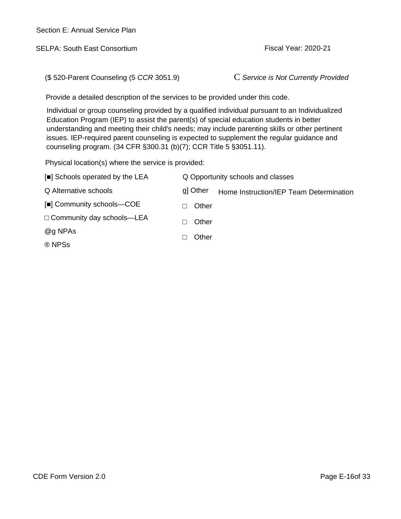SELPA: South East Consortium and the state of the Fiscal Year: 2020-21

(\$ 520-Parent Counseling (5 *CCR* 3051.9) C *Service is Not Currently Provided*

Provide a detailed description of the services to be provided under this code.

Individual or group counseling provided by a qualified individual pursuant to an Individualized Education Program (IEP) to assist the parent(s) of special education students in better understanding and meeting their child's needs; may include parenting skills or other pertinent issues. IEP-required parent counseling is expected to supplement the regular guidance and counseling program. (34 CFR §300.31 (b)(7); CCR Title 5 §3051.11).

| [ ] Schools operated by the LEA |          | Q Opportunity schools and classes       |
|---------------------------------|----------|-----------------------------------------|
| Q Alternative schools           | g] Other | Home Instruction/IEP Team Determination |
| [] Community schools-COE        | Other    |                                         |
| Community day schools-LEA       | Other    |                                         |
| @g NPAs                         | Other    |                                         |
| ® NPSs                          |          |                                         |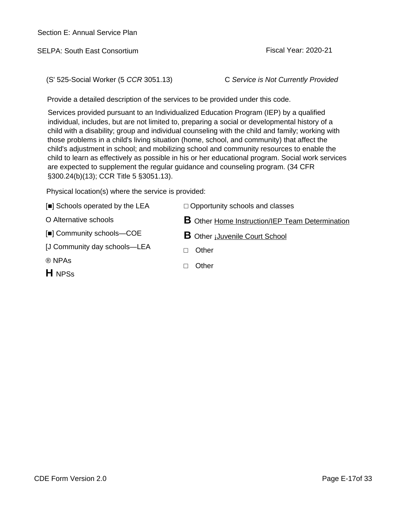SELPA: South East Consortium **Figure 10** 2020-21

(S' 525-Social Worker (5 *CCR* 3051.13) C *Service is Not Currently Provided*

Provide a detailed description of the services to be provided under this code.

Services provided pursuant to an Individualized Education Program (IEP) by a qualified individual, includes, but are not limited to, preparing a social or developmental history of a child with a disability; group and individual counseling with the child and family; working with those problems in a child's living situation (home, school, and community) that affect the child's adjustment in school; and mobilizing school and community resources to enable the child to learn as effectively as possible in his or her educational program. Social work services are expected to supplement the regular guidance and counseling program. (34 CFR §300.24(b)(13); CCR Title 5 §3051.13).

| [ ] Schools operated by the LEA | Opportunity schools and classes                        |
|---------------------------------|--------------------------------------------------------|
| O Alternative schools           | <b>B</b> Other Home Instruction/IEP Team Determination |
| [ ] Community schools-COE       | <b>B</b> Other <i>j</i> Juvenile Court School          |
| [J Community day schools—LEA    | Other                                                  |
| ® NPAs                          | Other                                                  |
| <b>H</b> NPSs                   |                                                        |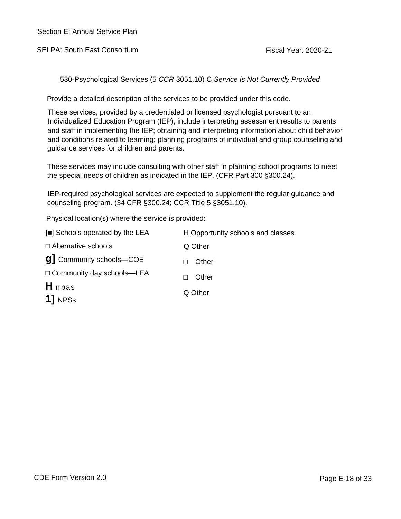SELPA: South East Consortium **Fiscal Year: 2020-21** Fiscal Year: 2020-21

530-Psychological Services (5 *CCR* 3051.10) C *Service is Not Currently Provided*

Provide a detailed description of the services to be provided under this code.

These services, provided by a credentialed or licensed psychologist pursuant to an Individualized Education Program (IEP), include interpreting assessment results to parents and staff in implementing the IEP; obtaining and interpreting information about child behavior and conditions related to learning; planning programs of individual and group counseling and guidance services for children and parents.

These services may include consulting with other staff in planning school programs to meet the special needs of children as indicated in the IEP. (CFR Part 300 §300.24).

IEP-required psychological services are expected to supplement the regular guidance and counseling program. (34 CFR §300.24; CCR Title 5 §3051.10).

| [ ] Schools operated by the LEA | $H$ Opportunity schools and classes |
|---------------------------------|-------------------------------------|
| Alternative schools             | Q Other                             |
| <b>g</b> Community schools-COE  | Other                               |
| Community day schools-LEA       | Other                               |
| H <sub>npas</sub>               |                                     |
| 11 NPSs                         | Q Other                             |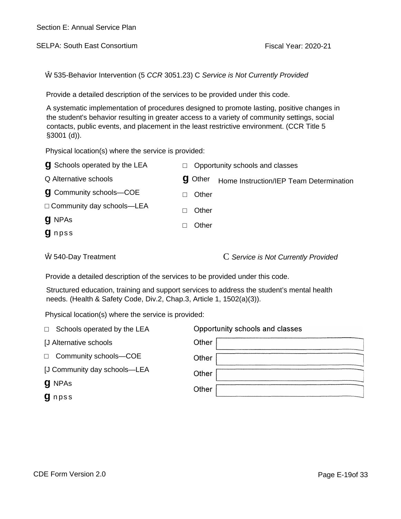SELPA: South East Consortium **Figure 10** 2020-21

535-Behavior Intervention (5 *CCR* 3051.23) C *Service is Not Currently Provided* 

Provide a detailed description of the services to be provided under this code.

A systematic implementation of procedures designed to promote lasting, positive changes in the student's behavior resulting in greater access to a variety of community settings, social contacts, public events, and placement in the least restrictive environment. (CCR Title 5 §3001 (d)).

Physical location(s) where the service is provided:

| <b>g</b> Schools operated by the LEA |                | Opportunity schools and classes         |
|--------------------------------------|----------------|-----------------------------------------|
| Q Alternative schools                | <b>g</b> Other | Home Instruction/IEP Team Determination |
| <b>g</b> Community schools-COE       | Other          |                                         |
| Community day schools-LEA            | Other          |                                         |
| <b>g</b> NPAs                        | Other          |                                         |
| <b>g</b> npss                        |                |                                         |
|                                      |                |                                         |

540-Day Treatment **C** *Service is Not Currently Provided* 

Provide a detailed description of the services to be provided under this code.

Structured education, training and support services to address the student's mental health needs. (Health & Safety Code, Div.2, Chap.3, Article 1, 1502(a)(3)).

| Schools operated by the LEA  | Opportunity schools and classes |
|------------------------------|---------------------------------|
| <b>J Alternative schools</b> | Other                           |
| Community schools-COE        | Other                           |
| [J Community day schools-LEA | Other                           |
| <b>g</b> NPAs                | Other                           |
| <b>g</b> npss                |                                 |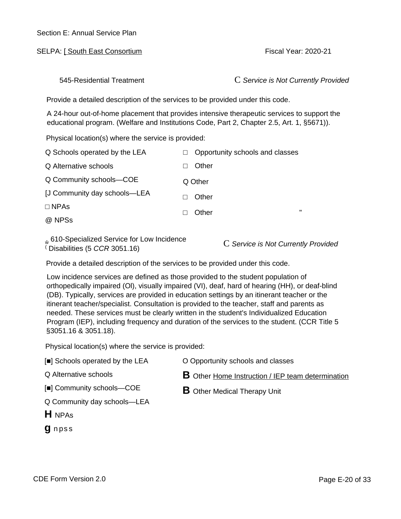SELPA: I South East Consortium **Figure 1** 2020-21

545-Residential Treatment C *Service is Not Currently Provided*

Provide a detailed description of the services to be provided under this code.

A 24-hour out-of-home placement that provides intensive therapeutic services to support the educational program. (Welfare and Institutions Code, Part 2, Chapter 2.5, Art. 1, §5671)).

Physical location(s) where the service is provided:

| Q Schools operated by the LEA | Opportunity schools and classes |   |
|-------------------------------|---------------------------------|---|
| Q Alternative schools         | Other                           |   |
| Q Community schools-COE       | Q Other                         |   |
| [J Community day schools-LEA  | Other                           |   |
| <b>NPAs</b>                   | Other                           | " |
| @ NPSs                        |                                 |   |
|                               |                                 |   |

610-Specialized Service for Low Incidence (Disabilities (5 CCR 3051.16)

 $C$  Service is Not Currently Provided

Provide a detailed description of the services to be provided under this code.

Low incidence services are defined as those provided to the student population of orthopedically impaired (Ol), visually impaired (VI), deaf, hard of hearing (HH), or deaf-blind (DB). Typically, services are provided in education settings by an itinerant teacher or the itinerant teacher/specialist. Consultation is provided to the teacher, staff and parents as needed. These services must be clearly written in the student's Individualized Education Program (IEP), including frequency and duration of the services to the student. (CCR Title 5 §3051.16 & 3051.18).

Physical location(s) where the service is provided:

- [ ] Schools operated by the LEA O Opportunity schools and classes
- Q Alternative schools

**B** Other Home Instruction / IEP team determination

**B** Other Medical Therapy Unit

- [ ] Community schools—COE
- Q Community day schools—LEA
- **H** NPAs
- **g** npss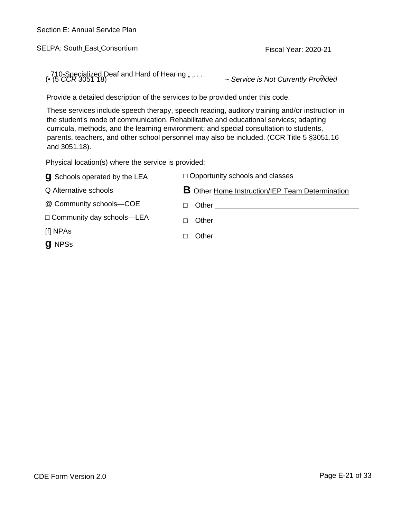SELPA: South East Consortium Fiscal Year: 2020-21

" 710-Specialized Deaf and Hard of Hearing " " . . <sup>D</sup> (• (5 *CCR* 3051 18) *~ Service is Not Currently Provided*

Provide a detailed description of the services to be provided under this code.

These services include speech therapy, speech reading, auditory training and/or instruction in the student's mode of communication. Rehabilitative and educational services; adapting curricula, methods, and the learning environment; and special consultation to students, parents, teachers, and other school personnel may also be included. (CCR Title 5 §3051.16 and 3051.18).

Physical location(s) where the service is provided:

| <b>g</b> Schools operated by the LEA | Opportunity schools and classes                        |
|--------------------------------------|--------------------------------------------------------|
| Q Alternative schools                | <b>B</b> Other Home Instruction/IEP Team Determination |
| @ Community schools-COE              | Other                                                  |
| Community day schools-LEA            | Other                                                  |
| [f] NPAs                             | Other                                                  |
| <b>g</b> NPSs                        |                                                        |
|                                      |                                                        |

~ Service is Not Currently Provided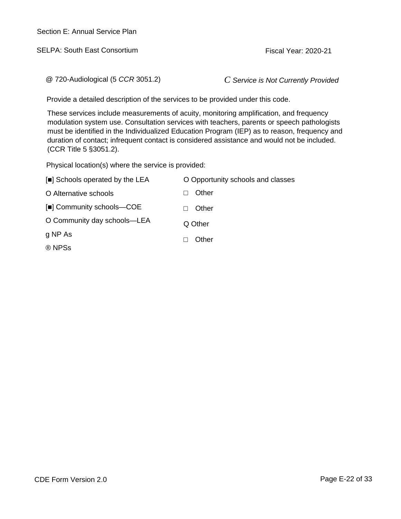SELPA: South East Consortium **Fiscal Year: 2020-21** 

@ 720-Audiological (5 *CCR* 3051.2) *C Service is Not Currently Provided*

Provide a detailed description of the services to be provided under this code.

These services include measurements of acuity, monitoring amplification, and frequency modulation system use. Consultation services with teachers, parents or speech pathologists must be identified in the Individualized Education Program (IEP) as to reason, frequency and duration of contact; infrequent contact is considered assistance and would not be included. (CCR Title 5 §3051.2).

| [ ] Schools operated by the LEA | O Opportunity schools and classes |
|---------------------------------|-----------------------------------|
| O Alternative schools           | Other                             |
| [] Community schools-COE        | Other                             |
| O Community day schools-LEA     | Q Other                           |
| g NP As                         | Other                             |
| ® NPSs                          |                                   |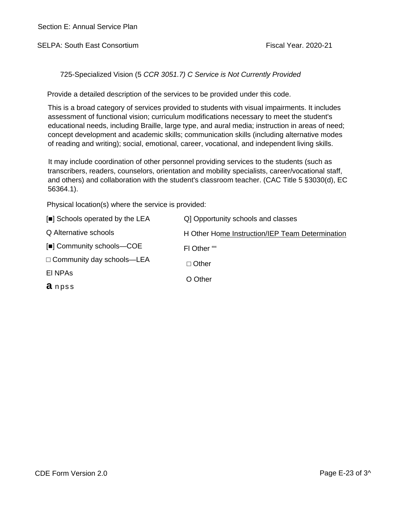SELPA: South East Consortium **Fiscal Year. 2020-21** 

725-Specialized Vision (5 *CCR 3051.7) C Service is Not Currently Provided*

Provide a detailed description of the services to be provided under this code.

This is a broad category of services provided to students with visual impairments. It includes assessment of functional vision; curriculum modifications necessary to meet the student's educational needs, including Braille, large type, and aural media; instruction in areas of need; concept development and academic skills; communication skills (including alternative modes of reading and writing); social, emotional, career, vocational, and independent living skills.

It may include coordination of other personnel providing services to the students (such as transcribers, readers, counselors, orientation and mobility specialists, career/vocational staff, and others) and collaboration with the student's classroom teacher. (CAC Title 5 §3030(d), EC 56364.1).

| [ ] Schools operated by the LEA | Q] Opportunity schools and classes              |
|---------------------------------|-------------------------------------------------|
| Q Alternative schools           | H Other Home Instruction/IEP Team Determination |
| [ ] Community schools—COE       | FI Other ""                                     |
| Community day schools-LEA       | Other                                           |
| EI NPAS                         | O Other                                         |
| <b>a</b> npss                   |                                                 |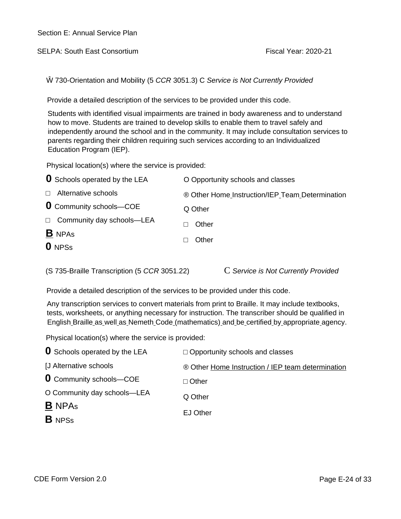SELPA: South East Consortium **Fiscal Year: 2020-21** Fiscal Year: 2020-21

Ŵ 730-Orientation and Mobility (5 *CCR* 3051.3) C *Service is Not Currently Provided*

Provide a detailed description of the services to be provided under this code.

Students with identified visual impairments are trained in body awareness and to understand how to move. Students are trained to develop skills to enable them to travel safely and independently around the school and in the community. It may include consultation services to parents regarding their children requiring such services according to an Individualized Education Program (IEP).

Physical location(s) where the service is provided:

| <b>U</b> Schools operated by the LEA | O Opportunity schools and classes               |
|--------------------------------------|-------------------------------------------------|
| Alternative schools                  | ® Other Home Instruction/IEP Team Determination |
| <b>0</b> Community schools-COE       | Q Other                                         |
| Community day schools-LEA            | Other                                           |
| <b>B</b> NPAS<br><b>O</b> NPSs       | Other                                           |
|                                      |                                                 |

(S 735-Braille Transcription (5 *CCR* 3051.22) C *Service is Not Currently Provided*

Provide a detailed description of the services to be provided under this code.

Any transcription services to convert materials from print to Braille. It may include textbooks, tests, worksheets, or anything necessary for instruction. The transcriber should be qualified in English Braille as well as Nemeth Code (mathematics) and be certified by appropriate agency.

| <b>O</b> Schools operated by the LEA | Opportunity schools and classes                   |
|--------------------------------------|---------------------------------------------------|
| [J Alternative schools               | ® Other Home Instruction / IEP team determination |
| <b>0</b> Community schools-COE       | Other                                             |
| O Community day schools-LEA          | Q Other                                           |
| <b>B</b> NPAs                        |                                                   |
| <b>B</b> NPSs                        | <b>EJ Other</b>                                   |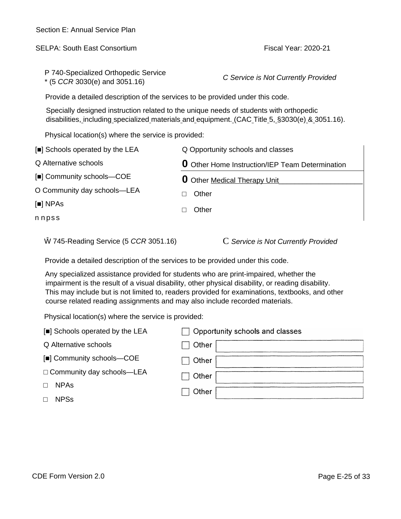| Section E: Annual Service Plan                                                                                                                                                                                                                                                                                                                                               |                                                        |  |
|------------------------------------------------------------------------------------------------------------------------------------------------------------------------------------------------------------------------------------------------------------------------------------------------------------------------------------------------------------------------------|--------------------------------------------------------|--|
| <b>SELPA: South East Consortium</b>                                                                                                                                                                                                                                                                                                                                          | <b>Fiscal Year: 2020-21</b>                            |  |
| P 740-Specialized Orthopedic Service                                                                                                                                                                                                                                                                                                                                         |                                                        |  |
| $*$ (5 CCR 3030(e) and 3051.16)                                                                                                                                                                                                                                                                                                                                              | C Service is Not Currently Provided                    |  |
| Provide a detailed description of the services to be provided under this code.                                                                                                                                                                                                                                                                                               |                                                        |  |
| Specially designed instruction related to the unique needs of students with orthopedic<br>disabilities, including specialized materials and equipment. (CAC Title 5, §3030(e) & 3051.16).                                                                                                                                                                                    |                                                        |  |
| Physical location(s) where the service is provided:                                                                                                                                                                                                                                                                                                                          |                                                        |  |
| [ ] Schools operated by the LEA                                                                                                                                                                                                                                                                                                                                              | Q Opportunity schools and classes                      |  |
| Q Alternative schools                                                                                                                                                                                                                                                                                                                                                        | <b>O</b> Other Home Instruction/IEP Team Determination |  |
| [] Community schools-COE                                                                                                                                                                                                                                                                                                                                                     | 0<br>Other Medical Therapy Unit                        |  |
| O Community day schools-LEA                                                                                                                                                                                                                                                                                                                                                  | Other                                                  |  |
| [ ] NPAs                                                                                                                                                                                                                                                                                                                                                                     | Other                                                  |  |
| nnpss                                                                                                                                                                                                                                                                                                                                                                        |                                                        |  |
| 745-Reading Service (5 CCR 3051.16)                                                                                                                                                                                                                                                                                                                                          | C Service is Not Currently Provided                    |  |
| Provide a detailed description of the services to be provided under this code.                                                                                                                                                                                                                                                                                               |                                                        |  |
| Any specialized assistance provided for students who are print-impaired, whether the<br>impairment is the result of a visual disability, other physical disability, or reading disability.<br>This may include but is not limited to, readers provided for examinations, textbooks, and other<br>course related reading assignments and may also include recorded materials. |                                                        |  |
| Physical location(s) where the service is provided:                                                                                                                                                                                                                                                                                                                          |                                                        |  |
| [ ] Schools operated by the LEA                                                                                                                                                                                                                                                                                                                                              | Opportunity schools and classes                        |  |
| Q Alternative schools                                                                                                                                                                                                                                                                                                                                                        | Other                                                  |  |
| Community schools-COE                                                                                                                                                                                                                                                                                                                                                        | Other                                                  |  |
| Community day schools-LEA                                                                                                                                                                                                                                                                                                                                                    | Other                                                  |  |
| <b>NPAs</b>                                                                                                                                                                                                                                                                                                                                                                  | Other                                                  |  |
| <b>NPSs</b>                                                                                                                                                                                                                                                                                                                                                                  |                                                        |  |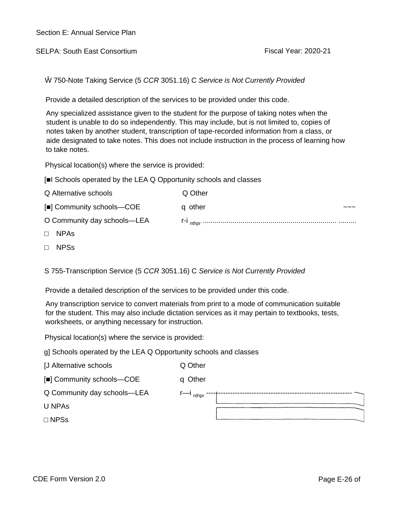SELPA: South East Consortium example of the Second Team Fiscal Year: 2020-21

Ŵ 750-Note Taking Service (5 *CCR* 3051.16) C *Service is Not Currently Provided*

Provide a detailed description of the services to be provided under this code.

Any specialized assistance given to the student for the purpose of taking notes when the student is unable to do so independently. This may include, but is not limited to, copies of notes taken by another student, transcription of tape-recorded information from a class, or aide designated to take notes. This does not include instruction in the process of learning how to take notes.

Physical location(s) where the service is provided:

| Q Alternative schools       | Q Other |
|-----------------------------|---------|
| [] Community schools-COE    | q other |
| O Community day schools—LEA |         |
| <b>NPAS</b>                 |         |

□ NPSs

S 755-Transcription Service (5 *CCR* 3051.16) C *Service is Not Currently Provided*

Provide a detailed description of the services to be provided under this code.

Any transcription service to convert materials from print to a mode of communication suitable for the student. This may also include dictation services as it may pertain to textbooks, tests, worksheets, or anything necessary for instruction.

Physical location(s) where the service is provided:

g] Schools operated by the LEA Q Opportunity schools and classes

[J Alternative schools Q Other

|  |  | [ ] Community schools-COE | q Other |
|--|--|---------------------------|---------|
|--|--|---------------------------|---------|

Q Community day schools—LEA r—i <sub>nthpr</sub> -----



U NPAs

□ NPSs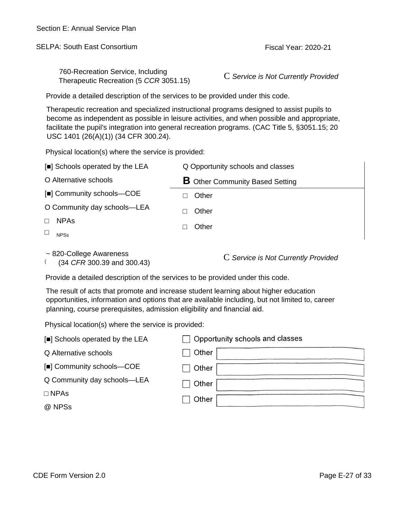SELPA: South East Consortium **Fiscal Year: 2020-21** Fiscal Year: 2020-21

760-Recreation Service, Including Therapeutic Recreation (5 *CCR* 3051.15) C *Service is Not Currently Provided*

Provide a detailed description of the services to be provided under this code.

Therapeutic recreation and specialized instructional programs designed to assist pupils to become as independent as possible in leisure activities, and when possible and appropriate, facilitate the pupil's integration into general recreation programs. (CAC Title 5, §3051.15; 20 USC 1401 (26(A)(1)) (34 CFR 300.24).

Physical location(s) where the service is provided:

| [ ] Schools operated by the LEA | Q Opportunity schools and classes                                         |
|---------------------------------|---------------------------------------------------------------------------|
| O Alternative schools           | <b>B</b> Other Community Based Setting                                    |
| [ ] Community schools-COE       | Other                                                                     |
| O Community day schools-LEA     | Other                                                                     |
| <b>NPAs</b>                     | Other                                                                     |
| <b>NPSs</b>                     |                                                                           |
| $\sim$ 820-College Awareness    | $\Omega$ $\Omega$ and in the Met $\Omega$ can be the $\Omega$ in the deal |

 $\left($ 

(34 *CFR* 300.39 and 300.43) <sup>C</sup>*Service is Not Currently Provided*

Provide a detailed description of the services to be provided under this code.

The result of acts that promote and increase student learning about higher education opportunities, information and options that are available including, but not limited to, career planning, course prerequisites, admission eligibility and financial aid.

| [ ] Schools operated by the LEA | $\Box$ Opportunity schools and classes |
|---------------------------------|----------------------------------------|
| Q Alternative schools           | Other                                  |
| [] Community schools-COE        | Other                                  |
| Q Community day schools-LEA     | Other                                  |
| <b>NPAs</b>                     | Other                                  |
| @ NPSs                          |                                        |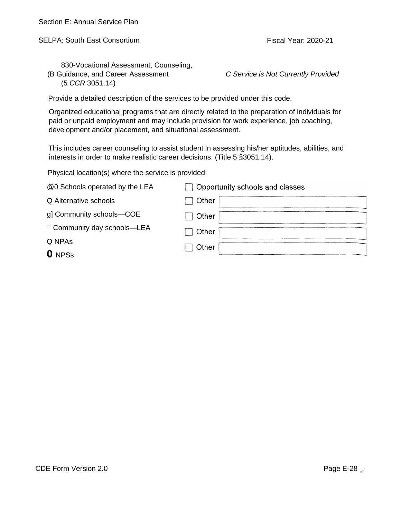SELPA: South East Consortium **Fiscal Year: 2020-21** Fiscal Year: 2020-21

830-Vocational Assessment, Counseling, (B Guidance, and Career Assessment *C Service is Not Currently Provided* (5 *CCR* 3051.14)

Provide a detailed description of the services to be provided under this code.

Organized educational programs that are directly related to the preparation of individuals for paid or unpaid employment and may include provision for work experience, job coaching, development and/or placement, and situational assessment.

This includes career counseling to assist student in assessing his/her aptitudes, abilities, and interests in order to make realistic career decisions. (Title 5 §3051.14).

| @0 Schools operated by the LEA | Opportunity schools and classes |
|--------------------------------|---------------------------------|
| Q Alternative schools          | Other                           |
| g] Community schools-COE       | Other                           |
| Community day schools-LEA      | Other                           |
| Q NPAs                         |                                 |
| <b>O</b> NPSs                  | Other                           |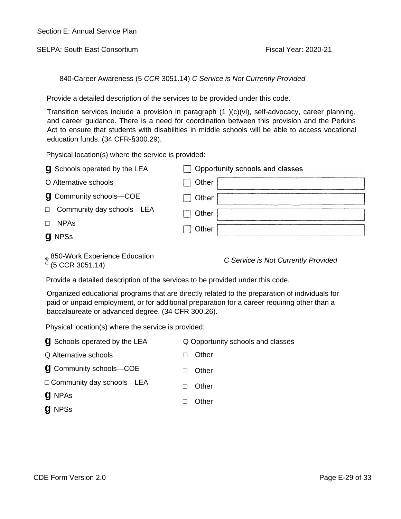SELPA: South East Consortium **Fiscal Year: 2020-21** Fiscal Year: 2020-21

840-Career Awareness (5 *CCR* 3051.14) *C Service is Not Currently Provided*

Provide a detailed description of the services to be provided under this code.

Transition services include a provision in paragraph (1 )(c)(vi), self-advocacy, career planning, and career guidance. There is a need for coordination between this provision and the Perkins Act to ensure that students with disabilities in middle schools will be able to access vocational education funds. (34 CFR-§300.29).

Physical location(s) where the service is provided:

| <b>g</b> Schools operated by the LEA | $\Box$ Opportunity schools and classes |
|--------------------------------------|----------------------------------------|
| O Alternative schools                | Other                                  |
| <b>g</b> Community schools-COE       | Other                                  |
| Community day schools-LEA            | Other                                  |
| <b>NPAs</b>                          | $\sqsupset$ Other                      |
| <b>g</b> NPSs                        |                                        |

850-Work Experience Education <sup>C</sup> (5 CCR 3051.14) *C Service is Not Currently Provided*

Provide a detailed description of the services to be provided under this code.

Organized educational programs that are directly related to the preparation of individuals for paid or unpaid employment, or for additional preparation for a career requiring other than a baccalaureate or advanced degree. (34 CFR 300.26).

| <b>g</b> Schools operated by the LEA | Q Opportunity schools and classes |
|--------------------------------------|-----------------------------------|
| Q Alternative schools                | Other                             |
| <b>g</b> Community schools-COE       | Other                             |
| Community day schools-LEA            | Other                             |
| <b>g</b> NPAs                        | Other                             |
| <b>g</b> NPSs                        |                                   |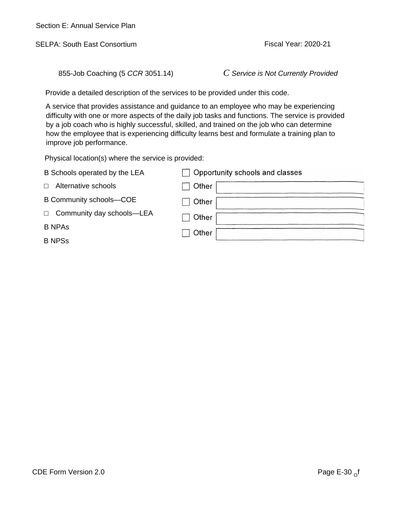SELPA: South East Consortium **Fiscal Year: 2020-21** 

855-Job Coaching (5 *CCR* 3051.14) *C Service is Not Currently Provided*

Provide a detailed description of the services to be provided under this code.

A service that provides assistance and guidance to an employee who may be experiencing difficulty with one or more aspects of the daily job tasks and functions. The service is provided by a job coach who is highly successful, skilled, and trained on the job who can determine how the employee that is experiencing difficulty learns best and formulate a training plan to improve job performance.

| B Schools operated by the LEA | □ Opportunity schools and classes |
|-------------------------------|-----------------------------------|
| Alternative schools           | Other                             |
| B Community schools-COE       | Other                             |
| Community day schools-LEA     | Other                             |
| <b>B NPAs</b>                 | Other                             |
| <b>B NPSs</b>                 |                                   |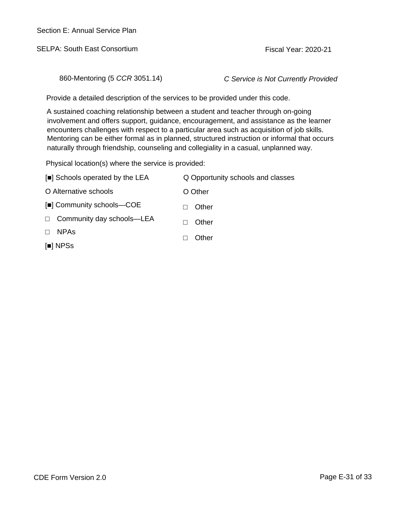SELPA: South East Consortium **Fiscal Year: 2020-21** Fiscal Year: 2020-21

860-Mentoring (5 *CCR* 3051.14) *C Service is Not Currently Provided*

Provide a detailed description of the services to be provided under this code.

A sustained coaching relationship between a student and teacher through on-going involvement and offers support, guidance, encouragement, and assistance as the learner encounters challenges with respect to a particular area such as acquisition of job skills. Mentoring can be either formal as in planned, structured instruction or informal that occurs naturally through friendship, counseling and collegiality in a casual, unplanned way.

| [ ] Schools operated by the LEA | Q Opportunity schools and classes |
|---------------------------------|-----------------------------------|
| O Alternative schools           | O Other                           |
| [ ] Community schools—COE       | Other                             |
| Community day schools—LEA       | Other                             |
| <b>NPAS</b>                     | Other                             |
| l NPSs                          |                                   |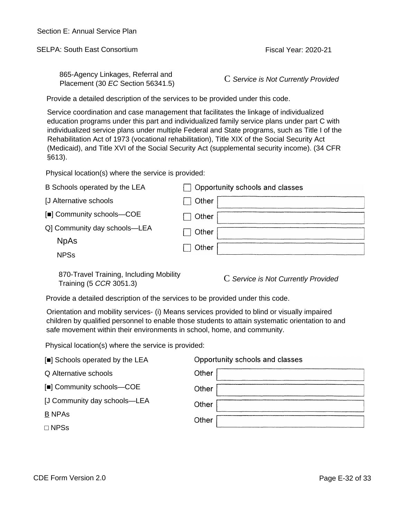SELPA: South East Consortium **Fiscal Year: 2020-21** 

865-Agency Linkages, Referral and Placement (30 *EC* Section 56341.5)

C *Service is Not Currently Provided*

Provide a detailed description of the services to be provided under this code.

Service coordination and case management that facilitates the linkage of individualized education programs under this part and individualized family service plans under part C with individualized service plans under multiple Federal and State programs, such as Title I of the Rehabilitation Act of 1973 (vocational rehabilitation), Title XIX of the Social Security Act (Medicaid), and Title XVI of the Social Security Act (supplemental security income). (34 CFR §613).

Physical location(s) where the service is provided:

| B Schools operated by the LEA | Opportunity schools and classes |
|-------------------------------|---------------------------------|
| [J Alternative schools        | <b>Other</b>                    |
| [] Community schools-COE      | Other                           |
| Q] Community day schools-LEA  | Other                           |
| <b>NpAs</b>                   | Other                           |
| <b>NPSs</b>                   |                                 |

870-Travel Training, Including Mobility Training (5 *CCR* 3051.3)

C *Service is Not Currently Provided*

Provide a detailed description of the services to be provided under this code.

Orientation and mobility services- (i) Means services provided to blind or visually impaired children by qualified personnel to enable those students to attain systematic orientation to and safe movement within their environments in school, home, and community.

| Opportunity schools and classes |
|---------------------------------|
| Other                           |
| Other                           |
| Other                           |
| Other                           |
|                                 |
|                                 |